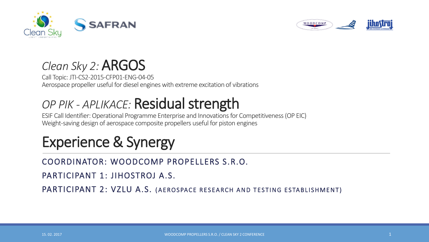



#### *Clean Sky 2:* ARGOS

Call Topic: JTI-CS2-2015-CFP01-ENG-04-05 Aerospace propeller useful for diesel engines with extreme excitation of vibrations

## *OP PIK - APLIKACE:* Residual strength

ESIF Call Identifier: Operational Programme Enterprise and Innovations for Competitiveness (OP EIC) Weight-saving design of aerospace composite propellers useful for piston engines

# Experience & Synergy

#### COORDINATOR: WOODCOMP PROPELLERS S.R.O.

PARTICIPANT 1: JIHOSTROJ A.S.

PARTICIPANT 2: VZLU A.S. (AEROSPACE RESEARCH AND TESTING ESTABLISHMENT)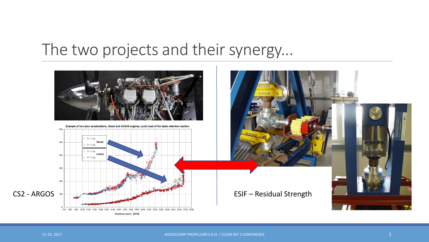## The two projects and their synergy...

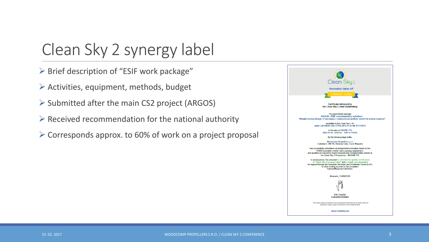## Clean Sky 2 synergy label

- $\triangleright$  Brief description of "ESIF work package"
- $\triangleright$  Activities, equipment, methods, budget
- $\triangleright$  Submitted after the main CS2 project (ARGOS)
- $\triangleright$  Received recommendation for the national authority
- $\triangleright$  Corresponds approx. to 60% of work on a project proposal

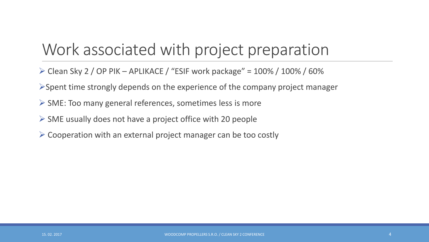# Work associated with project preparation

- $\triangleright$  Clean Sky 2 / OP PIK APLIKACE / "ESIF work package" = 100% / 100% / 60%
- $\triangleright$  Spent time strongly depends on the experience of the company project manager
- $\triangleright$  SME: Too many general references, sometimes less is more
- $\triangleright$  SME usually does not have a project office with 20 people
- $\triangleright$  Cooperation with an external project manager can be too costly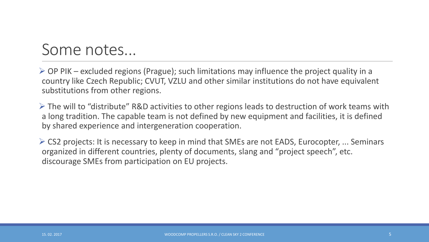## Some notes...

 $\triangleright$  OP PIK – excluded regions (Prague); such limitations may influence the project quality in a country like Czech Republic; CVUT, VZLU and other similar institutions do not have equivalent substitutions from other regions.

 $\triangleright$  The will to "distribute" R&D activities to other regions leads to destruction of work teams with a long tradition. The capable team is not defined by new equipment and facilities, it is defined by shared experience and intergeneration cooperation.

 CS2 projects: It is necessary to keep in mind that SMEs are not EADS, Eurocopter, ... Seminars organized in different countries, plenty of documents, slang and "project speech", etc. discourage SMEs from participation on EU projects.